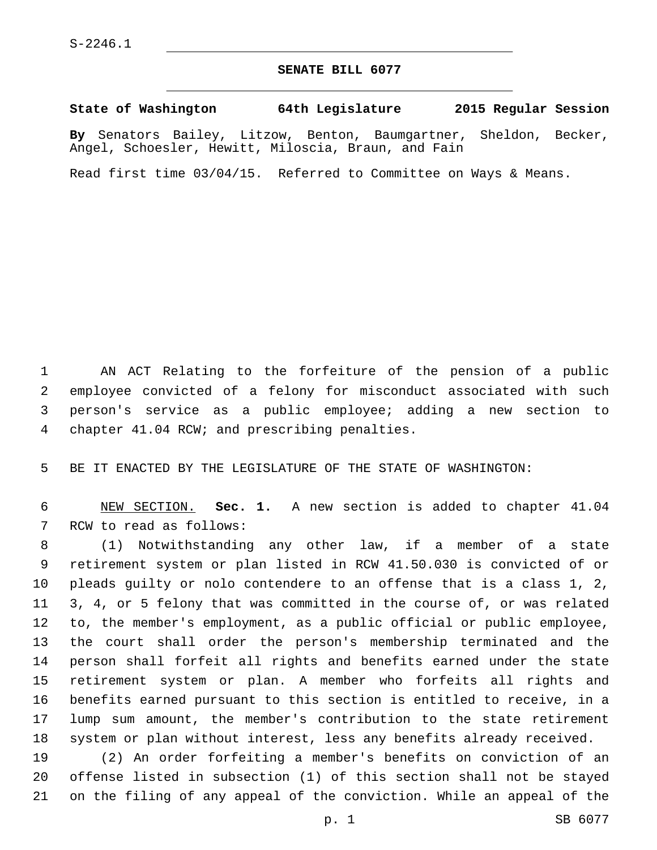## **SENATE BILL 6077**

**State of Washington 64th Legislature 2015 Regular Session**

**By** Senators Bailey, Litzow, Benton, Baumgartner, Sheldon, Becker, Angel, Schoesler, Hewitt, Miloscia, Braun, and Fain

Read first time 03/04/15. Referred to Committee on Ways & Means.

 AN ACT Relating to the forfeiture of the pension of a public employee convicted of a felony for misconduct associated with such person's service as a public employee; adding a new section to 4 chapter 41.04 RCW; and prescribing penalties.

BE IT ENACTED BY THE LEGISLATURE OF THE STATE OF WASHINGTON:

 NEW SECTION. **Sec. 1.** A new section is added to chapter 41.04 7 RCW to read as follows:

 (1) Notwithstanding any other law, if a member of a state retirement system or plan listed in RCW 41.50.030 is convicted of or pleads guilty or nolo contendere to an offense that is a class 1, 2, 3, 4, or 5 felony that was committed in the course of, or was related to, the member's employment, as a public official or public employee, the court shall order the person's membership terminated and the person shall forfeit all rights and benefits earned under the state retirement system or plan. A member who forfeits all rights and benefits earned pursuant to this section is entitled to receive, in a lump sum amount, the member's contribution to the state retirement system or plan without interest, less any benefits already received.

 (2) An order forfeiting a member's benefits on conviction of an offense listed in subsection (1) of this section shall not be stayed on the filing of any appeal of the conviction. While an appeal of the